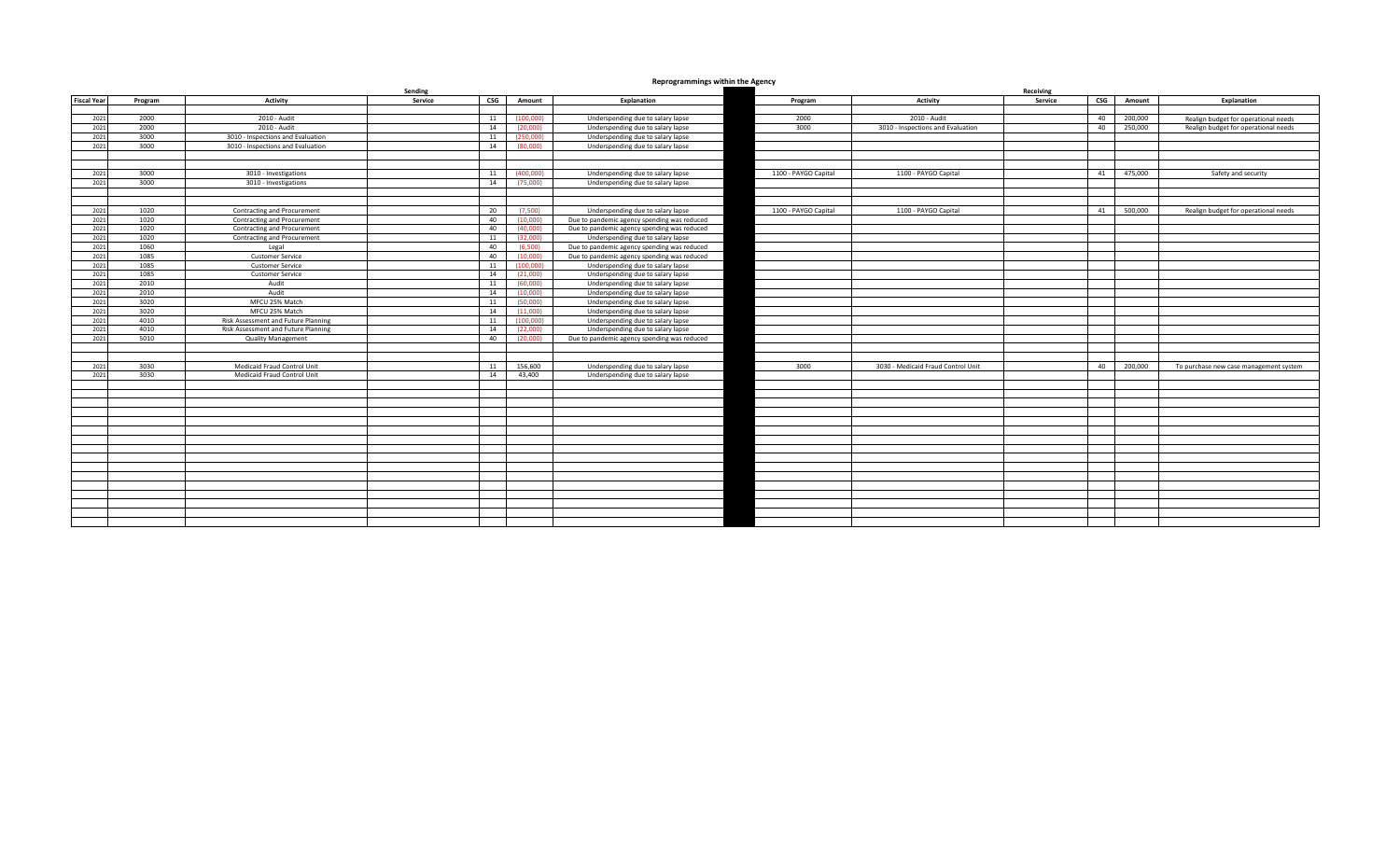## **Reprogrammings within the Agency**

|                    | Sending      |                                                                            |                                          |           |                                             |                      | Receiving                          |         |     |         |                                        |
|--------------------|--------------|----------------------------------------------------------------------------|------------------------------------------|-----------|---------------------------------------------|----------------------|------------------------------------|---------|-----|---------|----------------------------------------|
| <b>Fiscal Year</b> | Program      | Activity                                                                   | Service<br>$\mathsf{CSG}\hspace{0.01in}$ | Amount    | Explanation                                 | Program              | Activity                           | Service | CSG | Amount  | Explanation                            |
|                    |              |                                                                            |                                          |           |                                             |                      |                                    |         |     |         |                                        |
| 2021               | 2000         | 2010 - Audit                                                               | 11                                       | (100,000) | Underspending due to salary lapse           | 2000                 | 2010 - Audit                       |         | 40  | 200,000 | Realign budget for operational needs   |
| 2021               | 2000         | 2010 - Audit                                                               | 14                                       | (20,000)  | Underspending due to salary lapse           | 3000                 | 3010 - Inspections and Evaluation  |         | 40  | 250,000 | Realign budget for operational needs   |
| 2021               | 3000         | 3010 - Inspections and Evaluation                                          | 11                                       | (250.000) | Underspending due to salary lapse           |                      |                                    |         |     |         |                                        |
| 2021               | 3000         | 3010 - Inspections and Evaluation                                          | 14                                       | (80.000)  | Underspending due to salary lapse           |                      |                                    |         |     |         |                                        |
|                    |              |                                                                            |                                          |           |                                             |                      |                                    |         |     |         |                                        |
|                    |              |                                                                            |                                          |           |                                             |                      |                                    |         |     |         |                                        |
| 2021               | 3000         | 3010 - Investigations                                                      | 11                                       | (400.000) | Underspending due to salary lapse           | 1100 - PAYGO Capital | 1100 - PAYGO Capital               |         | 41  | 475,000 | Safety and security                    |
| 2021               | 3000         | 3010 - Investigations                                                      | 14                                       | (75,000)  | Underspending due to salary lapse           |                      |                                    |         |     |         |                                        |
|                    |              |                                                                            |                                          |           |                                             |                      |                                    |         |     |         |                                        |
|                    |              |                                                                            |                                          |           |                                             |                      |                                    |         |     |         |                                        |
| 2021               | 1020         | Contracting and Procurement                                                | 20                                       | (7.500)   | Underspending due to salary lapse           | 1100 - PAYGO Capital | 1100 - PAYGO Capital               |         | 41  | 500.000 | Realign budget for operational needs   |
| 2021               | 1020         | Contracting and Procurement                                                | 40                                       | (10,000)  | Due to pandemic agency spending was reduced |                      |                                    |         |     |         |                                        |
| 2021               | 1020         | Contracting and Procurement                                                | 40                                       | (40,000)  | Due to pandemic agency spending was reduced |                      |                                    |         |     |         |                                        |
| 2021               | 1020         | Contracting and Procurement                                                | 11                                       | (32,000)  | Underspending due to salary lapse           |                      |                                    |         |     |         |                                        |
| 2021               | 1060         | Legal                                                                      | 40                                       | (6.500)   | Due to pandemic agency spending was reduced |                      |                                    |         |     |         |                                        |
| 2021               | 1085         | <b>Customer Service</b>                                                    | 40                                       | (10.000)  | Due to pandemic agency spending was reduced |                      |                                    |         |     |         |                                        |
| 2021               | 1085         | <b>Customer Service</b>                                                    | 11                                       | (100.000) | Underspending due to salary lapse           |                      |                                    |         |     |         |                                        |
| 2021               | 1085         | <b>Customer Service</b>                                                    | 14                                       | (21,000)  | Underspending due to salary lapse           |                      |                                    |         |     |         |                                        |
| 2021               | 2010         | Audit                                                                      | 11                                       | (60,000)  | Underspending due to salary lapse           |                      |                                    |         |     |         |                                        |
| 2021               | 2010         | Audit                                                                      | 14                                       | (10,000)  | Underspending due to salary lapse           |                      |                                    |         |     |         |                                        |
| 2021               | 3020         | MFCU 25% Match                                                             | 11                                       | (50,000)  | Underspending due to salary lapse           |                      |                                    |         |     |         |                                        |
| 2021               | 3020         | MFCU 25% Match                                                             | 14                                       | (11.000)  | Underspending due to salary lapse           |                      |                                    |         |     |         |                                        |
| 2021<br>2021       | 4010<br>4010 | Risk Assessment and Future Planning<br>Risk Assessment and Future Planning | 11                                       | (100.000) | Underspending due to salary lapse           |                      |                                    |         |     |         |                                        |
| 2021               |              |                                                                            | 14                                       | (22.000)  | Underspending due to salary lapse           |                      |                                    |         |     |         |                                        |
|                    | 5010         | <b>Quality Management</b>                                                  | 40                                       | (20,000)  | Due to pandemic agency spending was reduced |                      |                                    |         |     |         |                                        |
|                    |              |                                                                            |                                          |           |                                             |                      |                                    |         |     |         |                                        |
| 2021               | 3030         | Medicaid Fraud Control Unit                                                | 11                                       | 156,600   | Underspending due to salary lapse           | 3000                 | 3030 - Medicaid Fraud Control Unit |         | 40  | 200,000 | To purchase new case management system |
| 2021               | 3030         | Medicaid Fraud Control Unit                                                | 14                                       | 43,400    | Underspending due to salary lapse           |                      |                                    |         |     |         |                                        |
|                    |              |                                                                            |                                          |           |                                             |                      |                                    |         |     |         |                                        |
|                    |              |                                                                            |                                          |           |                                             |                      |                                    |         |     |         |                                        |
|                    |              |                                                                            |                                          |           |                                             |                      |                                    |         |     |         |                                        |
|                    |              |                                                                            |                                          |           |                                             |                      |                                    |         |     |         |                                        |
|                    |              |                                                                            |                                          |           |                                             |                      |                                    |         |     |         |                                        |
|                    |              |                                                                            |                                          |           |                                             |                      |                                    |         |     |         |                                        |
|                    |              |                                                                            |                                          |           |                                             |                      |                                    |         |     |         |                                        |
|                    |              |                                                                            |                                          |           |                                             |                      |                                    |         |     |         |                                        |
|                    |              |                                                                            |                                          |           |                                             |                      |                                    |         |     |         |                                        |
|                    |              |                                                                            |                                          |           |                                             |                      |                                    |         |     |         |                                        |
|                    |              |                                                                            |                                          |           |                                             |                      |                                    |         |     |         |                                        |
|                    |              |                                                                            |                                          |           |                                             |                      |                                    |         |     |         |                                        |
|                    |              |                                                                            |                                          |           |                                             |                      |                                    |         |     |         |                                        |
|                    |              |                                                                            |                                          |           |                                             |                      |                                    |         |     |         |                                        |
|                    |              |                                                                            |                                          |           |                                             |                      |                                    |         |     |         |                                        |
|                    |              |                                                                            |                                          |           |                                             |                      |                                    |         |     |         |                                        |
|                    |              |                                                                            |                                          |           |                                             |                      |                                    |         |     |         |                                        |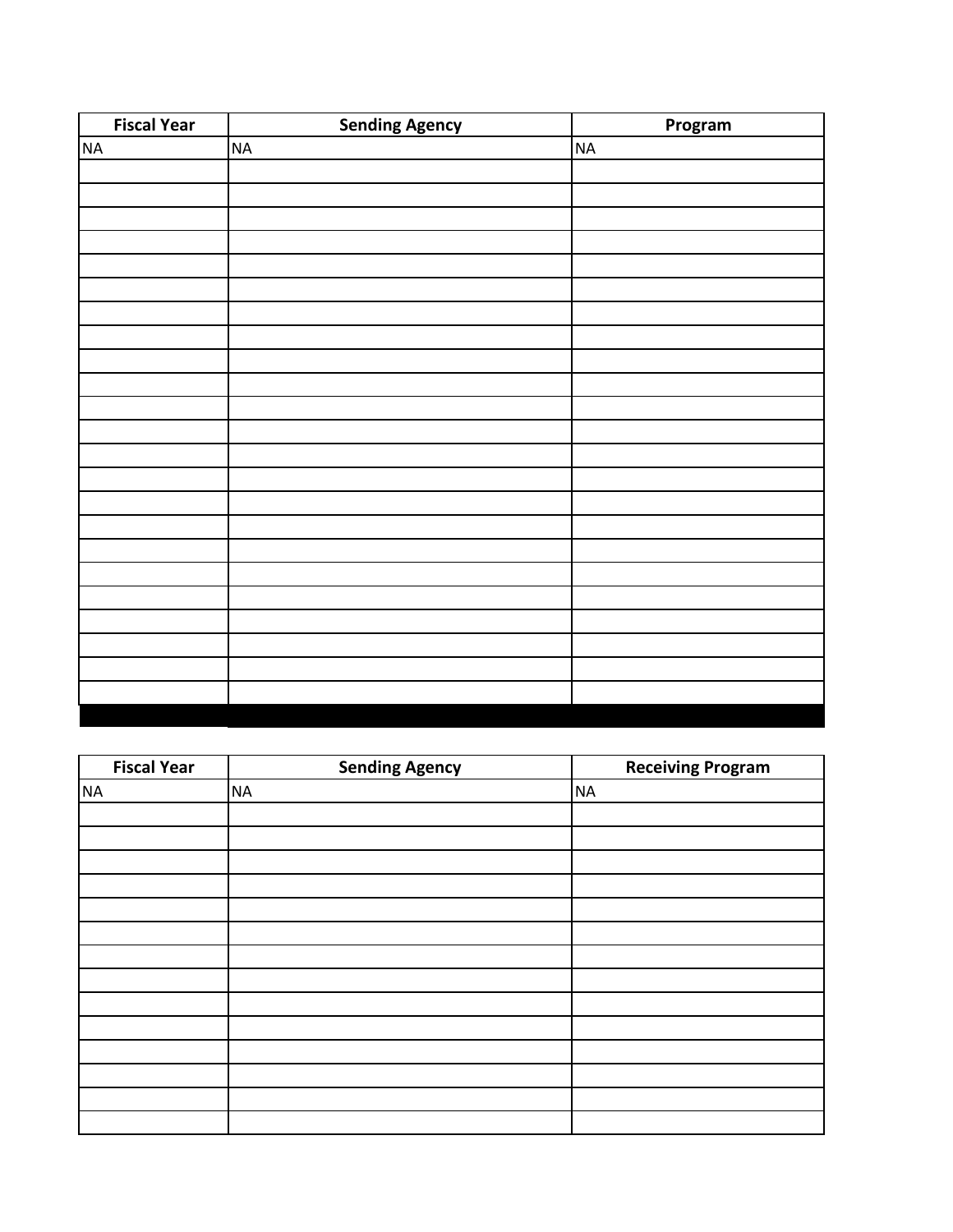| <b>Fiscal Year</b> | <b>Sending Agency</b> | Program   |
|--------------------|-----------------------|-----------|
| <b>NA</b>          | $\sf NA$              | <b>NA</b> |
|                    |                       |           |
|                    |                       |           |
|                    |                       |           |
|                    |                       |           |
|                    |                       |           |
|                    |                       |           |
|                    |                       |           |
|                    |                       |           |
|                    |                       |           |
|                    |                       |           |
|                    |                       |           |
|                    |                       |           |
|                    |                       |           |
|                    |                       |           |
|                    |                       |           |
|                    |                       |           |
|                    |                       |           |
|                    |                       |           |
|                    |                       |           |
|                    |                       |           |
|                    |                       |           |
|                    |                       |           |
|                    |                       |           |
|                    |                       |           |

| <b>Fiscal Year</b> | <b>Sending Agency</b> | <b>Receiving Program</b> |
|--------------------|-----------------------|--------------------------|
| <b>NA</b>          | <b>NA</b>             | <b>NA</b>                |
|                    |                       |                          |
|                    |                       |                          |
|                    |                       |                          |
|                    |                       |                          |
|                    |                       |                          |
|                    |                       |                          |
|                    |                       |                          |
|                    |                       |                          |
|                    |                       |                          |
|                    |                       |                          |
|                    |                       |                          |
|                    |                       |                          |
|                    |                       |                          |
|                    |                       |                          |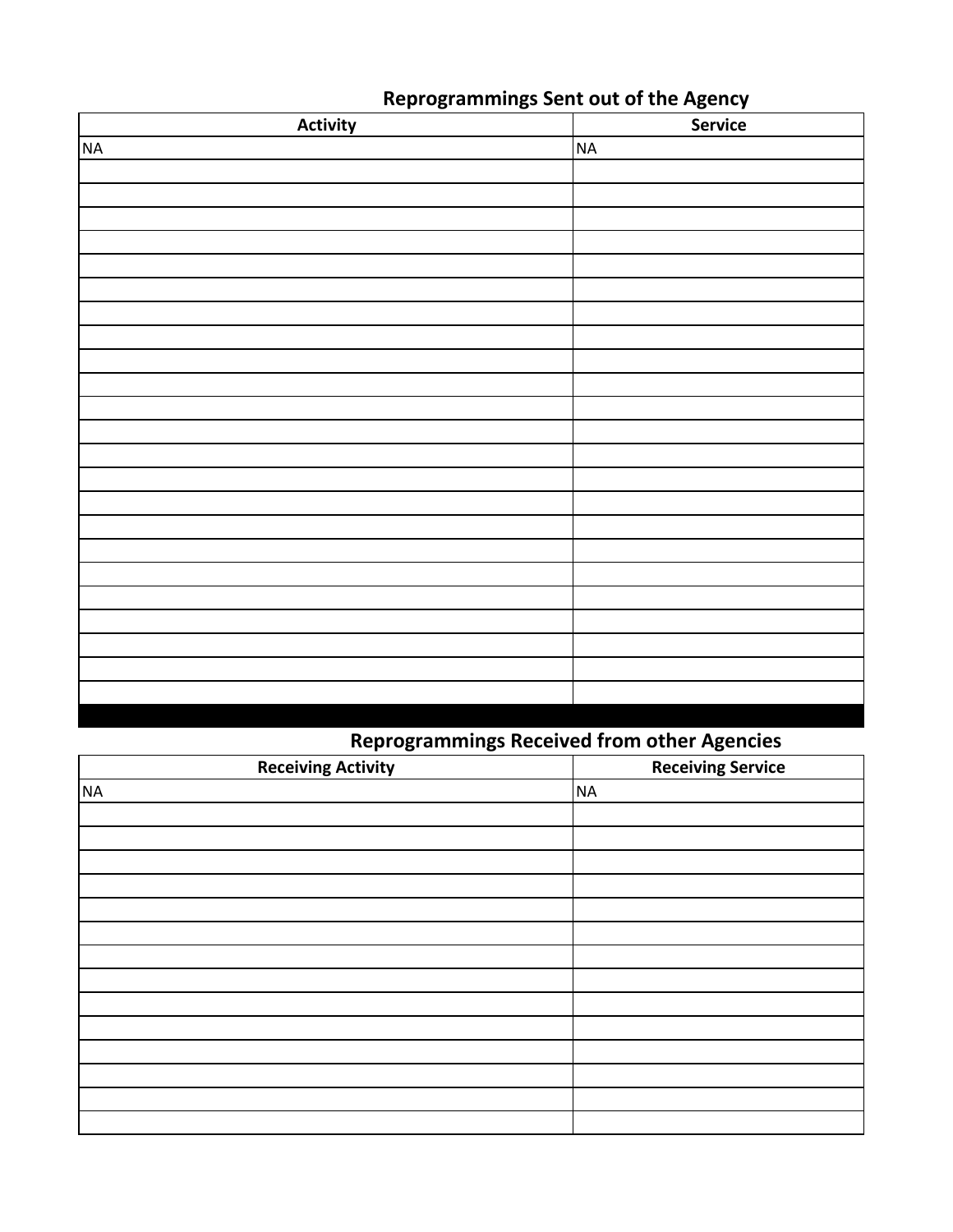| <b>Activity</b> | <b>Service</b> |
|-----------------|----------------|
| $\sf NA$        | <b>NA</b>      |
|                 |                |
|                 |                |
|                 |                |
|                 |                |
|                 |                |
|                 |                |
|                 |                |
|                 |                |
|                 |                |
|                 |                |
|                 |                |
|                 |                |
|                 |                |
|                 |                |
|                 |                |
|                 |                |
|                 |                |
|                 |                |
|                 |                |
|                 |                |
|                 |                |
|                 |                |
|                 |                |

## **Reprogrammings Sent out of the Agency**

## **Reprogrammings Received from other Agencies**

| <b>Receiving Activity</b> | $\sim$<br><b>Receiving Service</b> |
|---------------------------|------------------------------------|
| <b>NA</b>                 | <b>NA</b>                          |
|                           |                                    |
|                           |                                    |
|                           |                                    |
|                           |                                    |
|                           |                                    |
|                           |                                    |
|                           |                                    |
|                           |                                    |
|                           |                                    |
|                           |                                    |
|                           |                                    |
|                           |                                    |
|                           |                                    |
|                           |                                    |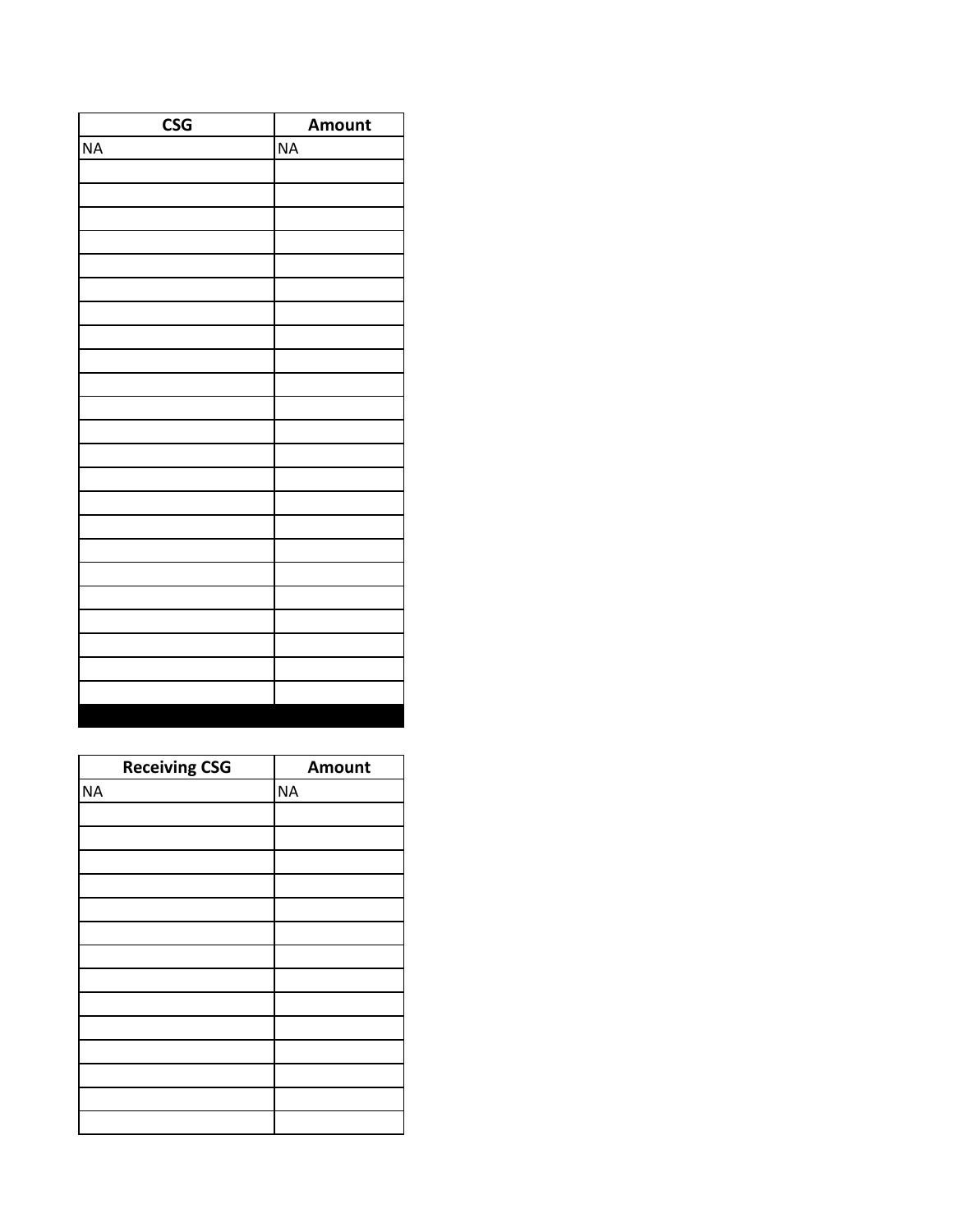| <b>CSG</b> | Amount   |
|------------|----------|
| NA         | $\sf NA$ |
|            |          |
|            |          |
|            |          |
|            |          |
|            |          |
|            |          |
|            |          |
|            |          |
|            |          |
|            |          |
|            |          |
|            |          |
|            |          |
|            |          |
|            |          |
|            |          |
|            |          |
|            |          |
|            |          |
|            |          |
|            |          |
|            |          |
|            |          |
|            |          |

| <b>Receiving CSG</b> | <b>Amount</b> |
|----------------------|---------------|
| <b>NA</b>            | <b>NA</b>     |
|                      |               |
|                      |               |
|                      |               |
|                      |               |
|                      |               |
|                      |               |
|                      |               |
|                      |               |
|                      |               |
|                      |               |
|                      |               |
|                      |               |
|                      |               |
|                      |               |